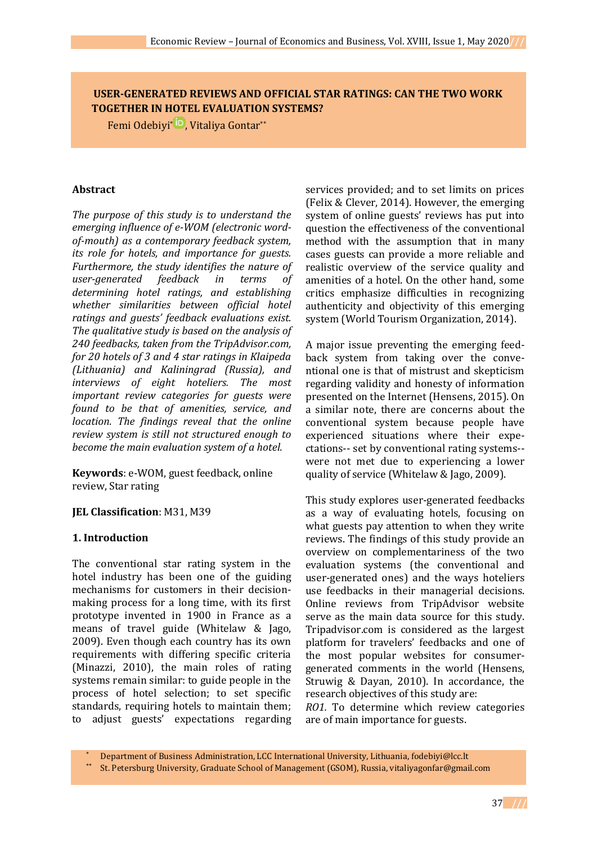# **USER-GENERATED REVIEWS AND OFFICIAL STAR RATINGS: CAN THE TWO WORK TOGETHER IN HOTEL EVALUATION SYSTEMS?**

Femi Odebiyi\* D[,](https://orcid.org/0000-0002-2704-7330) Vitaliya Gontar\*\*

#### **Abstract**

*The purpose of this study is to understand the emerging influence of e-WOM (electronic wordof-mouth) as a contemporary feedback system, its role for hotels, and importance for guests. Furthermore, the study identifies the nature of user-generated feedback in terms of determining hotel ratings, and establishing whether similarities between official hotel ratings and guests' feedback evaluations exist. The qualitative study is based on the analysis of 240 feedbacks, taken from the TripAdvisor.com, for 20 hotels of 3 and 4 star ratings in Klaipeda (Lithuania) and Kaliningrad (Russia), and interviews of eight hoteliers. The most important review categories for guests were found to be that of amenities, service, and location. The findings reveal that the online review system is still not structured enough to become the main evaluation system of a hotel.* 

**Keywords**: e-WOM, guest feedback, online review, Star rating

#### **JEL Classification**: M31, M39

#### **1. Introduction**

The conventional star rating system in the hotel industry has been one of the guiding mechanisms for customers in their decisionmaking process for a long time, with its first prototype invented in 1900 in France as a means of travel guide (Whitelaw & Jago, 2009). Even though each country has its own requirements with differing specific criteria (Minazzi, 2010), the main roles of rating systems remain similar: to guide people in the process of hotel selection; to set specific standards, requiring hotels to maintain them; to adjust guests' expectations regarding services provided; and to set limits on prices (Felix & Clever, 2014). However, the emerging system of online guests' reviews has put into question the effectiveness of the conventional method with the assumption that in many cases guests can provide a more reliable and realistic overview of the service quality and amenities of a hotel. On the other hand, some critics emphasize difficulties in recognizing authenticity and objectivity of this emerging system (World Tourism Organization, 2014).

A major issue preventing the emerging feedback system from taking over the conventional one is that of mistrust and skepticism regarding validity and honesty of information presented on the Internet (Hensens, 2015). On a similar note, there are concerns about the conventional system because people have experienced situations where their expectations-- set by conventional rating systems- were not met due to experiencing a lower quality of service (Whitelaw & Jago, 2009).

This study explores user-generated feedbacks as a way of evaluating hotels, focusing on what guests pay attention to when they write reviews. The findings of this study provide an overview on complementariness of the two evaluation systems (the conventional and user-generated ones) and the ways hoteliers use feedbacks in their managerial decisions. Online reviews from TripAdvisor website serve as the main data source for this study. Tripadvisor.com is considered as the largest platform for travelers' feedbacks and one of the most popular websites for consumergenerated comments in the world (Hensens, Struwig & Dayan, 2010). In accordance, the research objectives of this study are:

*RO1.* To determine which review categories are of main importance for guests.

Department of Business Administration, LCC International University, Lithuania, fodebiyi@lcc.lt

St. Petersburg University, Graduate School of Management (GSOM), Russia, vitaliyagonfar@gmail.com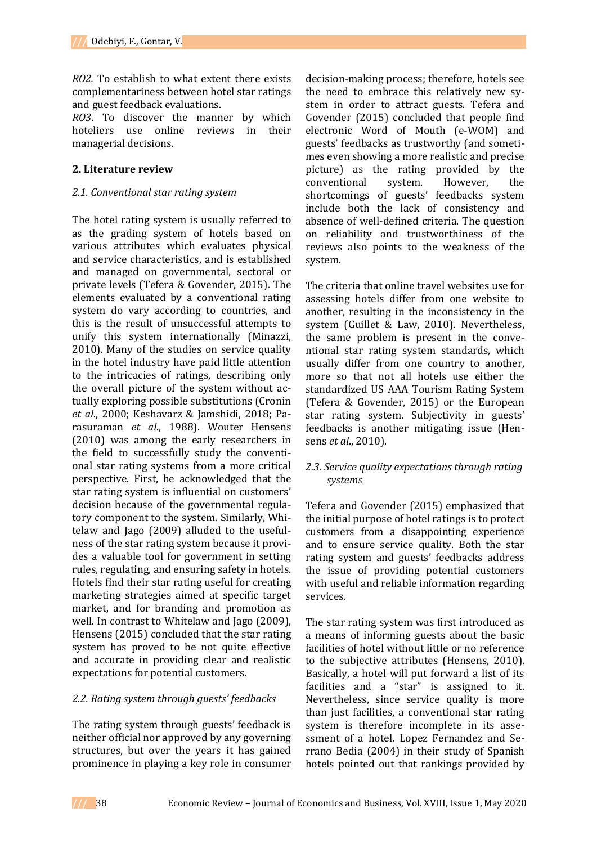*RO2.* To establish to what extent there exists complementariness between hotel star ratings and guest feedback evaluations.

*RO3*. To discover the manner by which hoteliers use online reviews in their managerial decisions.

### **2. Literature review**

### *2.1. Conventional star rating system*

The hotel rating system is usually referred to as the grading system of hotels based on various attributes which evaluates physical and service characteristics, and is established and managed on governmental, sectoral or private levels (Tefera & Govender, 2015). The elements evaluated by a conventional rating system do vary according to countries, and this is the result of unsuccessful attempts to unify this system internationally (Minazzi, 2010). Many of the studies on service quality in the hotel industry have paid little attention to the intricacies of ratings, describing only the overall picture of the system without actually exploring possible substitutions (Cronin *et al*., 2000; Keshavarz & Jamshidi, 2018; Parasuraman *et al*., 1988). Wouter Hensens (2010) was among the early researchers in the field to successfully study the conventional star rating systems from a more critical perspective. First, he acknowledged that the star rating system is influential on customers' decision because of the governmental regulatory component to the system. Similarly, Whitelaw and Jago (2009) alluded to the usefulness of the star rating system because it provides a valuable tool for government in setting rules, regulating, and ensuring safety in hotels. Hotels find their star rating useful for creating marketing strategies aimed at specific target market, and for branding and promotion as well. In contrast to Whitelaw and Jago (2009), Hensens (2015) concluded that the star rating system has proved to be not quite effective and accurate in providing clear and realistic expectations for potential customers.

## *2.2. Rating system through guests' feedbacks*

The rating system through guests' feedback is neither official nor approved by any governing structures, but over the years it has gained prominence in playing a key role in consumer

decision-making process; therefore, hotels see the need to embrace this relatively new system in order to attract guests. Tefera and Govender (2015) concluded that people find electronic Word of Mouth (e-WOM) and guests' feedbacks as trustworthy (and sometimes even showing a more realistic and precise picture) as the rating provided by the conventional system. However, the shortcomings of guests' feedbacks system include both the lack of consistency and absence of well-defined criteria. The question on reliability and trustworthiness of the reviews also points to the weakness of the system.

The criteria that online travel websites use for assessing hotels differ from one website to another, resulting in the inconsistency in the system (Guillet & Law, 2010). Nevertheless, the same problem is present in the conventional star rating system standards, which usually differ from one country to another, more so that not all hotels use either the standardized US AAA Tourism Rating System (Tefera & Govender, 2015) or the European star rating system. Subjectivity in guests' feedbacks is another mitigating issue (Hensens *et al*., 2010).

### *2.3. Service quality expectations through rating systems*

Tefera and Govender (2015) emphasized that the initial purpose of hotel ratings is to protect customers from a disappointing experience and to ensure service quality. Both the star rating system and guests' feedbacks address the issue of providing potential customers with useful and reliable information regarding services.

The star rating system was first introduced as a means of informing guests about the basic facilities of hotel without little or no reference to the subjective attributes (Hensens, 2010). Basically, a hotel will put forward a list of its facilities and a "star" is assigned to it. Nevertheless, since service quality is more than just facilities, a conventional star rating system is therefore incomplete in its assessment of a hotel. Lopez Fernandez and Serrano Bedia (2004) in their study of Spanish hotels pointed out that rankings provided by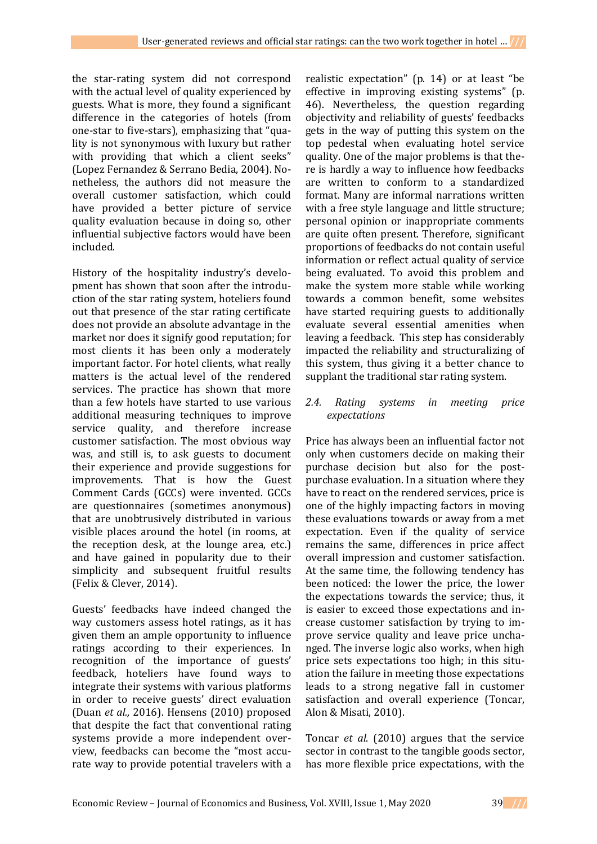the star-rating system did not correspond with the actual level of quality experienced by guests. What is more, they found a significant difference in the categories of hotels (from one-star to five-stars), emphasizing that "quality is not synonymous with luxury but rather with providing that which a client seeks" (Lopez Fernandez & Serrano Bedia, 2004). Nonetheless, the authors did not measure the overall customer satisfaction, which could have provided a better picture of service quality evaluation because in doing so, other influential subjective factors would have been included.

History of the hospitality industry's development has shown that soon after the introduction of the star rating system, hoteliers found out that presence of the star rating certificate does not provide an absolute advantage in the market nor does it signify good reputation; for most clients it has been only a moderately important factor. For hotel clients, what really matters is the actual level of the rendered services. The practice has shown that more than a few hotels have started to use various additional measuring techniques to improve service quality, and therefore increase customer satisfaction. The most obvious way was, and still is, to ask guests to document their experience and provide suggestions for improvements. That is how the Guest Comment Cards (GCCs) were invented. GCCs are questionnaires (sometimes anonymous) that are unobtrusively distributed in various visible places around the hotel (in rooms, at the reception desk, at the lounge area, etc.) and have gained in popularity due to their simplicity and subsequent fruitful results (Felix & Clever, 2014).

Guests' feedbacks have indeed changed the way customers assess hotel ratings, as it has given them an ample opportunity to influence ratings according to their experiences. In recognition of the importance of guests' feedback, hoteliers have found ways to integrate their systems with various platforms in order to receive guests' direct evaluation (Duan *et al.,* 2016). Hensens (2010) proposed that despite the fact that conventional rating systems provide a more independent overview, feedbacks can become the "most accurate way to provide potential travelers with a

realistic expectation" (p. 14) or at least "be effective in improving existing systems" (p. 46). Nevertheless, the question regarding objectivity and reliability of guests' feedbacks gets in the way of putting this system on the top pedestal when evaluating hotel service quality. One of the major problems is that there is hardly a way to influence how feedbacks are written to conform to a standardized format. Many are informal narrations written with a free style language and little structure; personal opinion or inappropriate comments are quite often present. Therefore, significant proportions of feedbacks do not contain useful information or reflect actual quality of service being evaluated. To avoid this problem and make the system more stable while working towards a common benefit, some websites have started requiring guests to additionally evaluate several essential amenities when leaving a feedback. This step has considerably impacted the reliability and structuralizing of this system, thus giving it a better chance to supplant the traditional star rating system.

#### *2.4. Rating systems in meeting price expectations*

Price has always been an influential factor not only when customers decide on making their purchase decision but also for the postpurchase evaluation. In a situation where they have to react on the rendered services, price is one of the highly impacting factors in moving these evaluations towards or away from a met expectation. Even if the quality of service remains the same, differences in price affect overall impression and customer satisfaction. At the same time, the following tendency has been noticed: the lower the price, the lower the expectations towards the service; thus, it is easier to exceed those expectations and increase customer satisfaction by trying to improve service quality and leave price unchanged. The inverse logic also works, when high price sets expectations too high; in this situation the failure in meeting those expectations leads to a strong negative fall in customer satisfaction and overall experience (Toncar, Alon & Misati, 2010).

Toncar *et al*. (2010) argues that the service sector in contrast to the tangible goods sector, has more flexible price expectations, with the

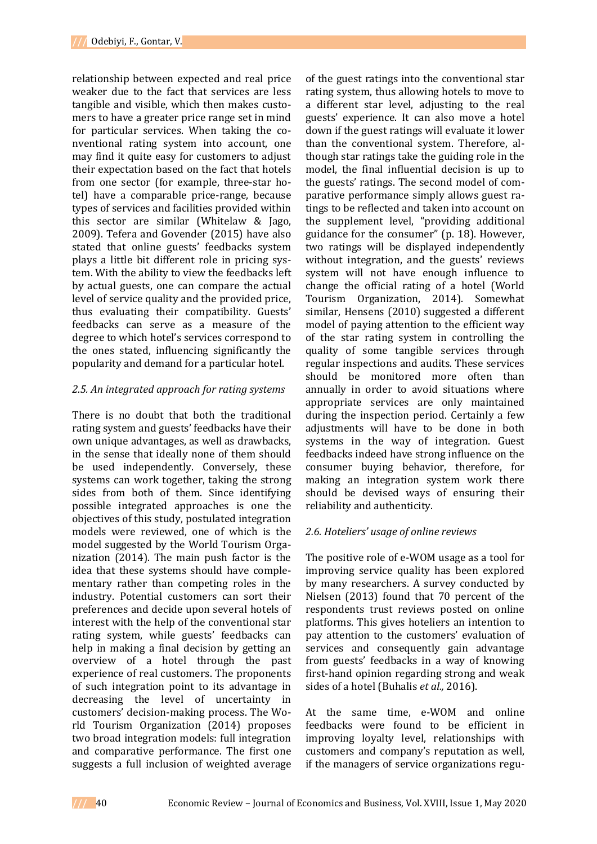relationship between expected and real price weaker due to the fact that services are less tangible and visible, which then makes customers to have a greater price range set in mind for particular services. When taking the conventional rating system into account, one may find it quite easy for customers to adjust their expectation based on the fact that hotels from one sector (for example, three-star hotel) have a comparable price-range, because types of services and facilities provided within this sector are similar (Whitelaw & Jago, 2009). Tefera and Govender (2015) have also stated that online guests' feedbacks system plays a little bit different role in pricing system. With the ability to view the feedbacks left by actual guests, one can compare the actual level of service quality and the provided price, thus evaluating their compatibility. Guests' feedbacks can serve as a measure of the degree to which hotel's services correspond to the ones stated, influencing significantly the popularity and demand for a particular hotel.

### *2.5. An integrated approach for rating systems*

There is no doubt that both the traditional rating system and guests' feedbacks have their own unique advantages, as well as drawbacks, in the sense that ideally none of them should be used independently. Conversely, these systems can work together, taking the strong sides from both of them. Since identifying possible integrated approaches is one the objectives of this study, postulated integration models were reviewed, one of which is the model suggested by the World Tourism Organization (2014). The main push factor is the idea that these systems should have complementary rather than competing roles in the industry. Potential customers can sort their preferences and decide upon several hotels of interest with the help of the conventional star rating system, while guests' feedbacks can help in making a final decision by getting an overview of a hotel through the past experience of real customers. The proponents of such integration point to its advantage in decreasing the level of uncertainty in customers' decision-making process. The World Tourism Organization (2014) proposes two broad integration models: full integration and comparative performance. The first one suggests a full inclusion of weighted average

of the guest ratings into the conventional star rating system, thus allowing hotels to move to a different star level, adjusting to the real guests' experience. It can also move a hotel down if the guest ratings will evaluate it lower than the conventional system. Therefore, although star ratings take the guiding role in the model, the final influential decision is up to the guests' ratings. The second model of comparative performance simply allows guest ratings to be reflected and taken into account on the supplement level, "providing additional guidance for the consumer" (p. 18). However, two ratings will be displayed independently without integration, and the guests' reviews system will not have enough influence to change the official rating of a hotel (World Tourism Organization, 2014). Somewhat similar, Hensens (2010) suggested a different model of paying attention to the efficient way of the star rating system in controlling the quality of some tangible services through regular inspections and audits. These services should be monitored more often than annually in order to avoid situations where appropriate services are only maintained during the inspection period. Certainly a few adjustments will have to be done in both systems in the way of integration. Guest feedbacks indeed have strong influence on the consumer buying behavior, therefore, for making an integration system work there should be devised ways of ensuring their reliability and authenticity.

## *2.6. Hoteliers' usage of online reviews*

The positive role of e-WOM usage as a tool for improving service quality has been explored by many researchers. A survey conducted by Nielsen (2013) found that 70 percent of the respondents trust reviews posted on online platforms. This gives hoteliers an intention to pay attention to the customers' evaluation of services and consequently gain advantage from guests' feedbacks in a way of knowing first-hand opinion regarding strong and weak sides of a hotel (Buhalis *et al.,* 2016).

At the same time, e-WOM and online feedbacks were found to be efficient in improving loyalty level, relationships with customers and company's reputation as well, if the managers of service organizations regu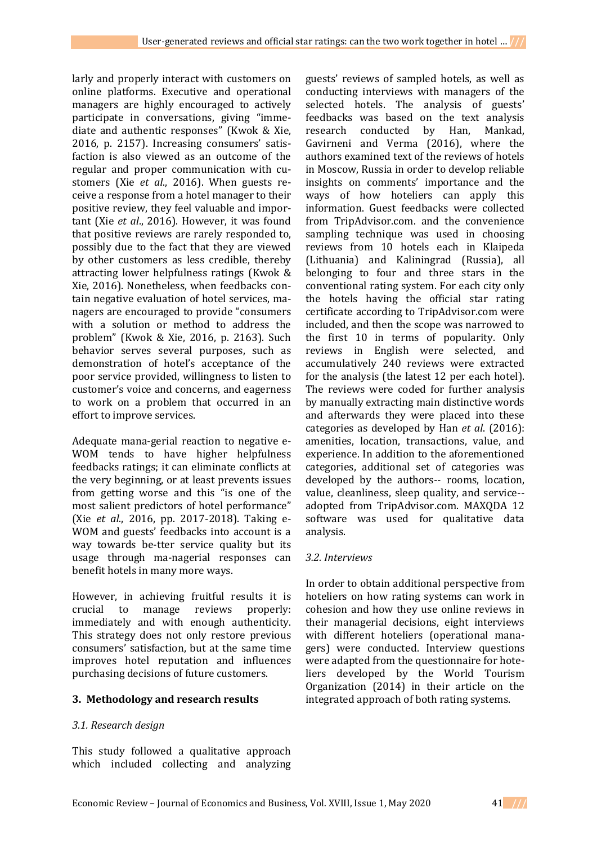larly and properly interact with customers on online platforms. Executive and operational managers are highly encouraged to actively participate in conversations, giving "immediate and authentic responses" (Kwok & Xie, 2016, p. 2157). Increasing consumers' satisfaction is also viewed as an outcome of the regular and proper communication with customers (Xie *et al*., 2016). When guests receive a response from a hotel manager to their positive review, they feel valuable and important (Xie *et al*., 2016). However, it was found that positive reviews are rarely responded to, possibly due to the fact that they are viewed by other customers as less credible, thereby attracting lower helpfulness ratings (Kwok & Xie, 2016). Nonetheless, when feedbacks contain negative evaluation of hotel services, managers are encouraged to provide "consumers with a solution or method to address the problem" (Kwok & Xie, 2016, p. 2163). Such behavior serves several purposes, such as demonstration of hotel's acceptance of the poor service provided, willingness to listen to customer's voice and concerns, and eagerness to work on a problem that occurred in an effort to improve services.

Adequate mana-gerial reaction to negative e-WOM tends to have higher helpfulness feedbacks ratings; it can eliminate conflicts at the very beginning, or at least prevents issues from getting worse and this "is one of the most salient predictors of hotel performance" (Xie *et al*., 2016, pp. 2017-2018). Taking e-WOM and guests' feedbacks into account is a way towards be-tter service quality but its usage through ma-nagerial responses can benefit hotels in many more ways.

However, in achieving fruitful results it is crucial to manage reviews properly: immediately and with enough authenticity. This strategy does not only restore previous consumers' satisfaction, but at the same time improves hotel reputation and influences purchasing decisions of future customers.

#### **3. Methodology and research results**

#### *3.1. Research design*

This study followed a qualitative approach which included collecting and analyzing guests' reviews of sampled hotels, as well as conducting interviews with managers of the selected hotels. The analysis of guests' feedbacks was based on the text analysis research conducted by Han, Mankad, Gavirneni and Verma (2016), where the authors examined text of the reviews of hotels in Moscow, Russia in order to develop reliable insights on comments' importance and the ways of how hoteliers can apply this information. Guest feedbacks were collected from TripAdvisor.com. and the convenience sampling technique was used in choosing reviews from 10 hotels each in Klaipeda (Lithuania) and Kaliningrad (Russia), all belonging to four and three stars in the conventional rating system. For each city only the hotels having the official star rating certificate according to TripAdvisor.com were included, and then the scope was narrowed to the first 10 in terms of popularity. Only reviews in English were selected, and accumulatively 240 reviews were extracted for the analysis (the latest 12 per each hotel). The reviews were coded for further analysis by manually extracting main distinctive words and afterwards they were placed into these categories as developed by Han *et al*. (2016): amenities, location, transactions, value, and experience. In addition to the aforementioned categories, additional set of categories was developed by the authors-- rooms, location, value, cleanliness, sleep quality, and service- adopted from TripAdvisor.com. MAXQDA 12 software was used for qualitative data analysis.

#### *3.2. Interviews*

In order to obtain additional perspective from hoteliers on how rating systems can work in cohesion and how they use online reviews in their managerial decisions, eight interviews with different hoteliers (operational managers) were conducted. Interview questions were adapted from the questionnaire for hoteliers developed by the World Tourism Organization (2014) in their article on the integrated approach of both rating systems.

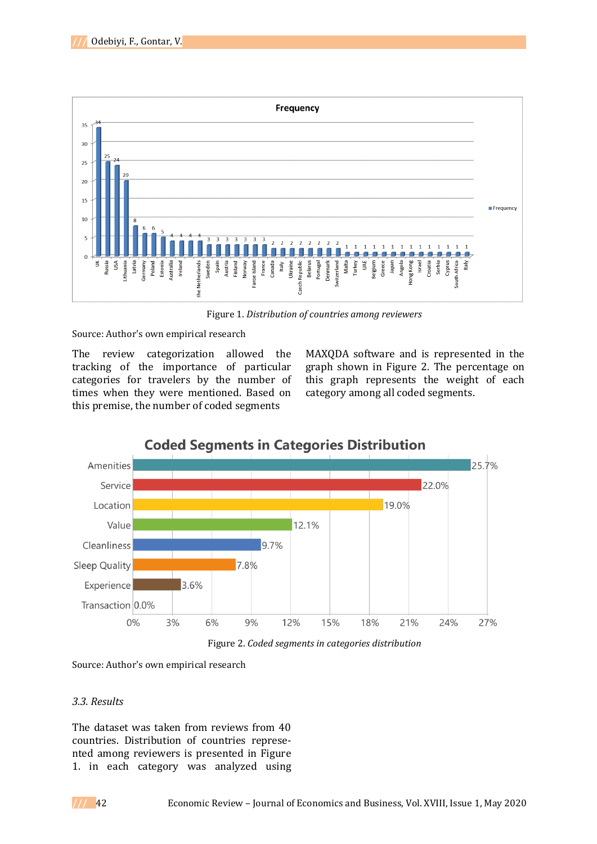

Figure 1. *Distribution of countries among reviewers*

Source: Author's own empirical research

The review categorization allowed the tracking of the importance of particular categories for travelers by the number of times when they were mentioned. Based on this premise, the number of coded segments

MAXQDA software and is represented in the graph shown in Figure 2. The percentage on this graph represents the weight of each category among all coded segments.



Figure 2. *Coded segments in categories distribution*



#### *3.3. Results*

The dataset was taken from reviews from 40 countries. Distribution of countries represented among reviewers is presented in Figure 1. in each category was analyzed using

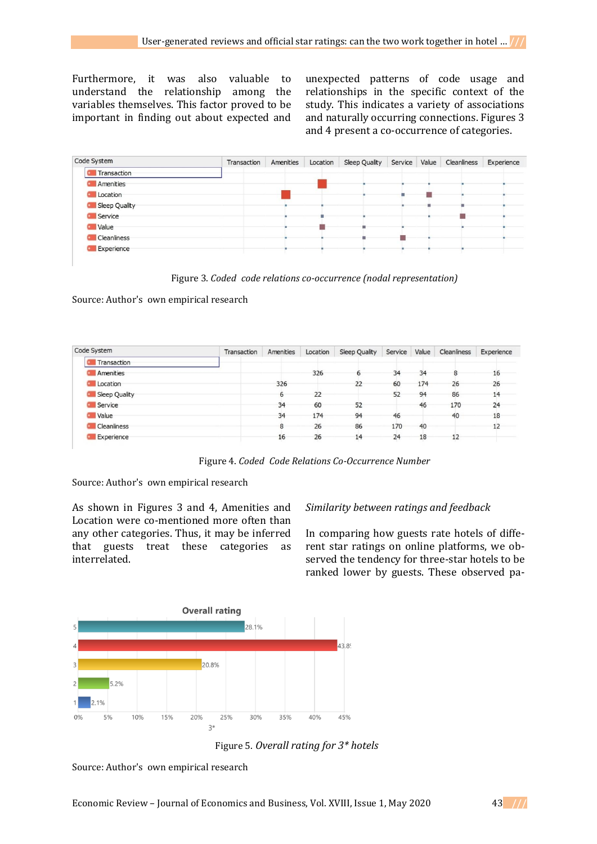Furthermore, it was also valuable to understand the relationship among the variables themselves. This factor proved to be important in finding out about expected and unexpected patterns of code usage and relationships in the specific context of the study. This indicates a variety of associations and naturally occurring connections. Figures 3 and 4 present a co-occurrence of categories.

| Code System        | Transaction | Amenities | Location | <b>Sleep Quality</b> | Service | Value | Cleanliness | Experience |
|--------------------|-------------|-----------|----------|----------------------|---------|-------|-------------|------------|
| Transaction        |             |           |          |                      |         |       |             |            |
| Amenities          |             |           |          |                      |         |       |             |            |
| <b>C</b> Location  |             |           |          |                      |         |       |             |            |
| Sleep Quality      |             |           |          |                      |         |       |             |            |
| Service            |             |           |          |                      |         |       |             |            |
| <b>C</b> Value     |             |           |          |                      |         |       |             |            |
| <b>Cleanliness</b> |             |           |          |                      |         |       |             |            |
| Experience         |             |           |          |                      |         |       |             |            |

Figure 3. *Coded code relations co-occurrence (nodal representation)*

Source: Author's own empirical research

| Code System        | Transaction | Amenities | Location | <b>Sleep Quality</b> | Service | Value | Cleanliness | Experience |
|--------------------|-------------|-----------|----------|----------------------|---------|-------|-------------|------------|
| Transaction        |             |           |          |                      |         |       |             |            |
| Amenities          |             |           | 326      |                      | 34      | 34    |             | 16         |
| Location           |             | 326       |          | 22                   | 60      | 174   | 26          | 26         |
| Sleep Quality      |             | 6         | 22       |                      | 52      | 94    | 86          | 14         |
| Service            |             | 34        | 60       | 52                   |         | 46    | 170         | 24         |
| <b>Walue</b>       |             | 34        | 174      | 94                   | 46      |       | 40          | 18         |
| <b>Cleanliness</b> |             | 8         | 26       | 86                   | 170     | 40    |             | 12         |
| Experience         |             | 16        | 26       | 14                   | 24      | 18    | 12          |            |

Figure 4. *Coded Code Relations Co-Occurrence Number*

Source: Author's own empirical research

As shown in Figures 3 and 4, Amenities and Location were co-mentioned more often than any other categories. Thus, it may be inferred that guests treat these categories as interrelated.

#### *Similarity between ratings and feedback*

In comparing how guests rate hotels of different star ratings on online platforms, we observed the tendency for three-star hotels to be ranked lower by guests. These observed pa-



Figure 5. *Overall rating for 3\* hotels*

Source: Author's own empirical research

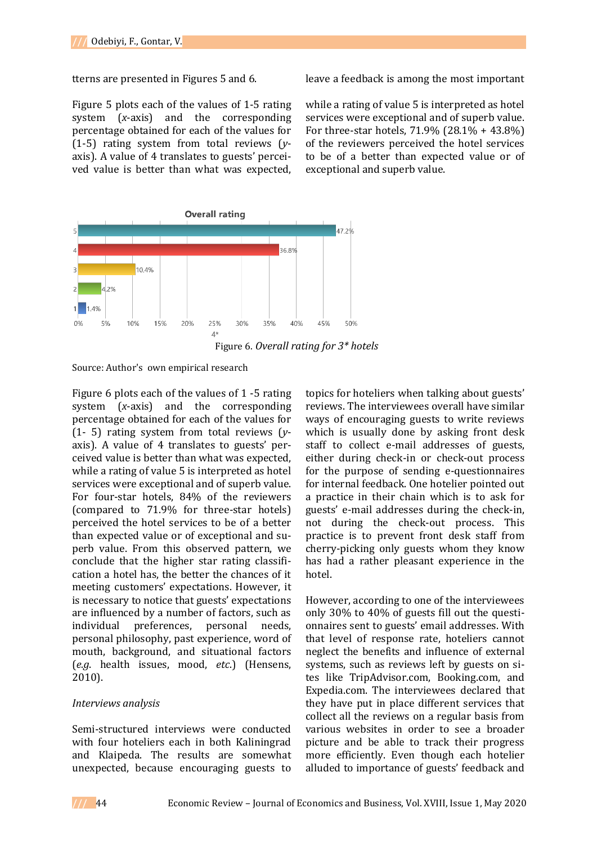tterns are presented in Figures 5 and 6.

Figure 5 plots each of the values of 1-5 rating system (*x*-axis) and the corresponding percentage obtained for each of the values for (1-5) rating system from total reviews (*y*axis). A value of 4 translates to guests' perceived value is better than what was expected,

leave a feedback is among the most important

while a rating of value 5 is interpreted as hotel services were exceptional and of superb value. For three-star hotels, 71.9% (28.1% + 43.8%) of the reviewers perceived the hotel services to be of a better than expected value or of exceptional and superb value.



Figure 6. *Overall rating for 3\* hotels*

Source: Author's own empirical research

Figure 6 plots each of the values of 1 -5 rating system (*x*-axis) and the corresponding percentage obtained for each of the values for (1- 5) rating system from total reviews (*y*axis). A value of 4 translates to guests' perceived value is better than what was expected, while a rating of value 5 is interpreted as hotel services were exceptional and of superb value. For four-star hotels, 84% of the reviewers (compared to 71.9% for three-star hotels) perceived the hotel services to be of a better than expected value or of exceptional and superb value. From this observed pattern, we conclude that the higher star rating classification a hotel has, the better the chances of it meeting customers' expectations. However, it is necessary to notice that guests' expectations are influenced by a number of factors, such as individual preferences, personal needs, personal philosophy, past experience, word of mouth, background, and situational factors (*e.g*. health issues, mood, *etc*.) (Hensens, 2010).

#### *Interviews analysis*

Semi-structured interviews were conducted with four hoteliers each in both Kaliningrad and Klaipeda. The results are somewhat unexpected, because encouraging guests to

topics for hoteliers when talking about guests' reviews. The interviewees overall have similar ways of encouraging guests to write reviews which is usually done by asking front desk staff to collect e-mail addresses of guests, either during check-in or check-out process for the purpose of sending e-questionnaires for internal feedback. One hotelier pointed out a practice in their chain which is to ask for guests' e-mail addresses during the check-in, not during the check-out process. This practice is to prevent front desk staff from cherry-picking only guests whom they know has had a rather pleasant experience in the hotel.

However, according to one of the interviewees only 30% to 40% of guests fill out the questionnaires sent to guests' email addresses. With that level of response rate, hoteliers cannot neglect the benefits and influence of external systems, such as reviews left by guests on sites like TripAdvisor.com, Booking.com, and Expedia.com. The interviewees declared that they have put in place different services that collect all the reviews on a regular basis from various websites in order to see a broader picture and be able to track their progress more efficiently. Even though each hotelier alluded to importance of guests' feedback and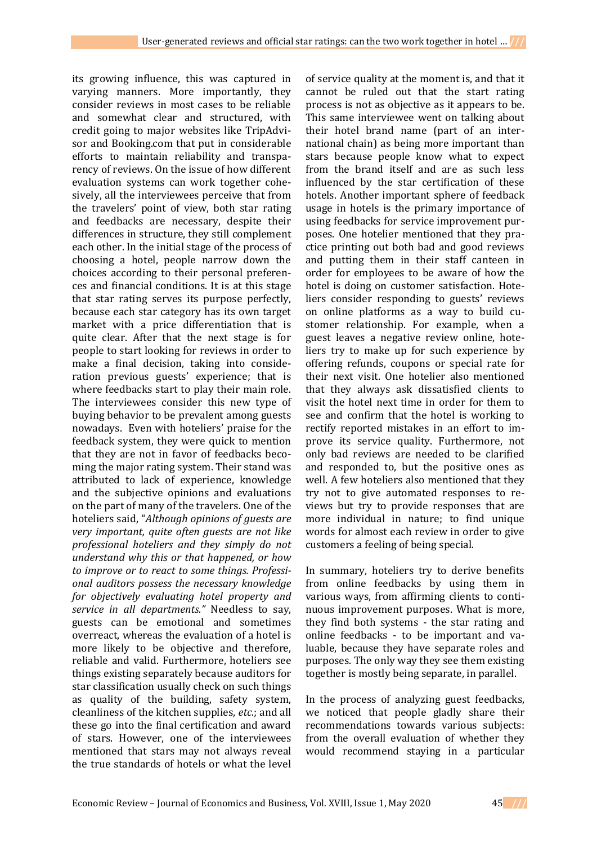its growing influence, this was captured in varying manners. More importantly, they consider reviews in most cases to be reliable and somewhat clear and structured, with credit going to major websites like TripAdvisor and Booking.com that put in considerable efforts to maintain reliability and transparency of reviews. On the issue of how different evaluation systems can work together cohesively, all the interviewees perceive that from the travelers' point of view, both star rating and feedbacks are necessary, despite their differences in structure, they still complement each other. In the initial stage of the process of choosing a hotel, people narrow down the choices according to their personal preferences and financial conditions. It is at this stage that star rating serves its purpose perfectly, because each star category has its own target market with a price differentiation that is quite clear. After that the next stage is for people to start looking for reviews in order to make a final decision, taking into consideration previous guests' experience; that is where feedbacks start to play their main role. The interviewees consider this new type of buying behavior to be prevalent among guests nowadays. Even with hoteliers' praise for the feedback system, they were quick to mention that they are not in favor of feedbacks becoming the major rating system. Their stand was attributed to lack of experience, knowledge and the subjective opinions and evaluations on the part of many of the travelers. One of the hoteliers said, "*Although opinions of guests are very important, quite often guests are not like professional hoteliers and they simply do not understand why this or that happened, or how to improve or to react to some things. Professional auditors possess the necessary knowledge for objectively evaluating hotel property and service in all departments."* Needless to say, guests can be emotional and sometimes overreact, whereas the evaluation of a hotel is more likely to be objective and therefore, reliable and valid. Furthermore, hoteliers see things existing separately because auditors for star classification usually check on such things as quality of the building, safety system, cleanliness of the kitchen supplies, *etc*.; and all these go into the final certification and award of stars. However, one of the interviewees mentioned that stars may not always reveal the true standards of hotels or what the level

of service quality at the moment is, and that it cannot be ruled out that the start rating process is not as objective as it appears to be. This same interviewee went on talking about their hotel brand name (part of an international chain) as being more important than stars because people know what to expect from the brand itself and are as such less influenced by the star certification of these hotels. Another important sphere of feedback usage in hotels is the primary importance of using feedbacks for service improvement purposes. One hotelier mentioned that they practice printing out both bad and good reviews and putting them in their staff canteen in order for employees to be aware of how the hotel is doing on customer satisfaction. Hoteliers consider responding to guests' reviews on online platforms as a way to build customer relationship. For example, when a guest leaves a negative review online, hoteliers try to make up for such experience by offering refunds, coupons or special rate for their next visit. One hotelier also mentioned that they always ask dissatisfied clients to visit the hotel next time in order for them to see and confirm that the hotel is working to rectify reported mistakes in an effort to improve its service quality. Furthermore, not only bad reviews are needed to be clarified and responded to, but the positive ones as well. A few hoteliers also mentioned that they try not to give automated responses to reviews but try to provide responses that are more individual in nature; to find unique words for almost each review in order to give customers a feeling of being special.

In summary, hoteliers try to derive benefits from online feedbacks by using them in various ways, from affirming clients to continuous improvement purposes. What is more, they find both systems - the star rating and online feedbacks - to be important and valuable, because they have separate roles and purposes. The only way they see them existing together is mostly being separate, in parallel.

In the process of analyzing guest feedbacks, we noticed that people gladly share their recommendations towards various subjects: from the overall evaluation of whether they would recommend staying in a particular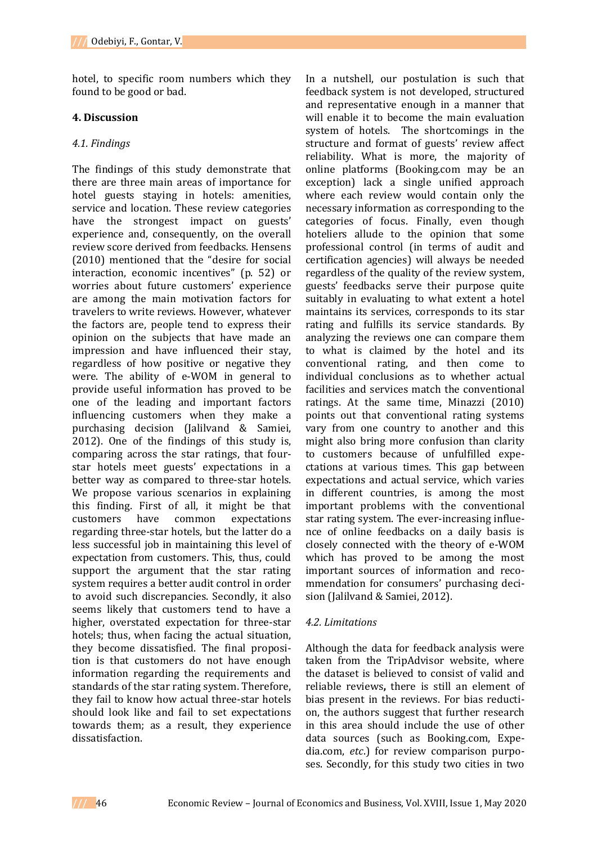hotel, to specific room numbers which they found to be good or bad.

### **4. Discussion**

### *4.1. Findings*

The findings of this study demonstrate that there are three main areas of importance for hotel guests staying in hotels: amenities, service and location. These review categories have the strongest impact on guests' experience and, consequently, on the overall review score derived from feedbacks. Hensens (2010) mentioned that the "desire for social interaction, economic incentives" (p. 52) or worries about future customers' experience are among the main motivation factors for travelers to write reviews. However, whatever the factors are, people tend to express their opinion on the subjects that have made an impression and have influenced their stay, regardless of how positive or negative they were. The ability of e-WOM in general to provide useful information has proved to be one of the leading and important factors influencing customers when they make a purchasing decision (Jalilvand & Samiei, 2012). One of the findings of this study is, comparing across the star ratings, that fourstar hotels meet guests' expectations in a better way as compared to three-star hotels. We propose various scenarios in explaining this finding. First of all, it might be that customers have common expectations regarding three-star hotels, but the latter do a less successful job in maintaining this level of expectation from customers. This, thus, could support the argument that the star rating system requires a better audit control in order to avoid such discrepancies. Secondly, it also seems likely that customers tend to have a higher, overstated expectation for three-star hotels; thus, when facing the actual situation, they become dissatisfied. The final proposition is that customers do not have enough information regarding the requirements and standards of the star rating system. Therefore, they fail to know how actual three-star hotels should look like and fail to set expectations towards them; as a result, they experience dissatisfaction.

In a nutshell, our postulation is such that feedback system is not developed, structured and representative enough in a manner that will enable it to become the main evaluation system of hotels. The shortcomings in the structure and format of guests' review affect reliability. What is more, the majority of online platforms (Booking.com may be an exception) lack a single unified approach where each review would contain only the necessary information as corresponding to the categories of focus. Finally, even though hoteliers allude to the opinion that some professional control (in terms of audit and certification agencies) will always be needed regardless of the quality of the review system, guests' feedbacks serve their purpose quite suitably in evaluating to what extent a hotel maintains its services, corresponds to its star rating and fulfills its service standards. By analyzing the reviews one can compare them to what is claimed by the hotel and its conventional rating, and then come to individual conclusions as to whether actual facilities and services match the conventional ratings. At the same time, Minazzi (2010) points out that conventional rating systems vary from one country to another and this might also bring more confusion than clarity to customers because of unfulfilled expectations at various times. This gap between expectations and actual service, which varies in different countries, is among the most important problems with the conventional star rating system. The ever-increasing influence of online feedbacks on a daily basis is closely connected with the theory of e-WOM which has proved to be among the most important sources of information and recommendation for consumers' purchasing decision (Jalilvand & Samiei, 2012).

## *4.2. Limitations*

Although the data for feedback analysis were taken from the TripAdvisor website, where the dataset is believed to consist of valid and reliable reviews**,** there is still an element of bias present in the reviews. For bias reduction, the authors suggest that further research in this area should include the use of other data sources (such as Booking.com, Expedia.com, *etc*.) for review comparison purposes. Secondly, for this study two cities in two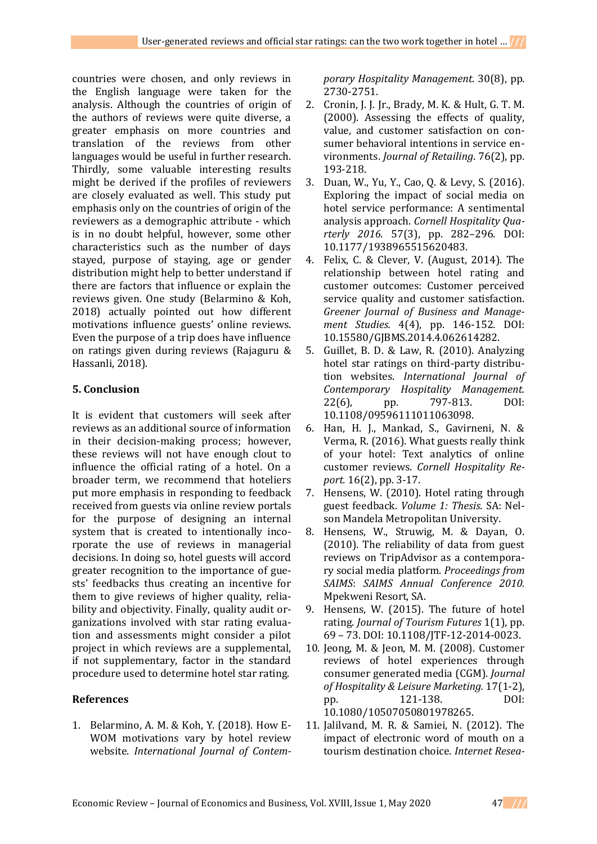countries were chosen, and only reviews in the English language were taken for the analysis. Although the countries of origin of the authors of reviews were quite diverse, a greater emphasis on more countries and translation of the reviews from other languages would be useful in further research. Thirdly, some valuable interesting results might be derived if the profiles of reviewers are closely evaluated as well. This study put emphasis only on the countries of origin of the reviewers as a demographic attribute - which is in no doubt helpful, however, some other characteristics such as the number of days stayed, purpose of staying, age or gender distribution might help to better understand if there are factors that influence or explain the reviews given. One study (Belarmino & Koh, 2018) actually pointed out how different motivations influence guests' online reviews. Even the purpose of a trip does have influence on ratings given during reviews (Rajaguru & Hassanli, 2018).

## **5. Conclusion**

It is evident that customers will seek after reviews as an additional source of information in their decision-making process; however, these reviews will not have enough clout to influence the official rating of a hotel. On a broader term, we recommend that hoteliers put more emphasis in responding to feedback received from guests via online review portals for the purpose of designing an internal system that is created to intentionally incorporate the use of reviews in managerial decisions. In doing so, hotel guests will accord greater recognition to the importance of guests' feedbacks thus creating an incentive for them to give reviews of higher quality, reliability and objectivity. Finally, quality audit organizations involved with star rating evaluation and assessments might consider a pilot project in which reviews are a supplemental, if not supplementary, factor in the standard procedure used to determine hotel star rating.

## **References**

1. Belarmino, A. M. & Koh, Y. (2018). How E-WOM motivations vary by hotel review website. *International Journal of Contem-* *porary Hospitality Management*. 30(8), pp. 2730-2751.

- 2. Cronin, J. J. Jr., Brady, M. K. & Hult, G. T. M. (2000). Assessing the effects of quality, value, and customer satisfaction on consumer behavioral intentions in service environments. *Journal of Retailing*. 76(2), pp. 193-218.
- 3. Duan, W., Yu, Y., Cao, Q. & Levy, S. (2016). Exploring the impact of social media on hotel service performance: A sentimental analysis approach. *Cornell Hospitality Quarterly 2016.* 57(3), pp. 282–296. DOI: 10.1177/1938965515620483.
- 4. Felix, C. & Clever, V. (August, 2014). The relationship between hotel rating and customer outcomes: Customer perceived service quality and customer satisfaction. *Greener Journal of Business and Management Studies.* 4(4), pp. 146-152. DOI: 10.15580/GJBMS.2014.4.062614282.
- 5. Guillet, B. D. & Law, R. (2010). Analyzing hotel star ratings on third-party distribution websites. *International Journal of Contemporary Hospitality Management.*  22(6), pp. 797-813. DOI: 10.1108/09596111011063098.
- 6. Han, H. J., Mankad, S., Gavirneni, N. & Verma, R. (2016). What guests really think of your hotel: Text analytics of online customer reviews. *Cornell Hospitality Report.* 16(2), pp. 3-17.
- 7. Hensens, W. (2010). Hotel rating through guest feedback. *Volume 1: Thesis*. SA: Nelson Mandela Metropolitan University.
- 8. Hensens, W., Struwig, M. & Dayan, O. (2010). The reliability of data from guest reviews on TripAdvisor as a contemporary social media platform. *Proceedings from SAIMS*: *SAIMS Annual Conference 2010.* Mpekweni Resort, SA.
- 9. Hensens, W. (2015). The future of hotel rating. *Journal of Tourism Futures* 1(1), pp. 69 – 73. DOI: 10.1108/JTF-12-2014-0023.
- 10. Jeong, M. & Jeon, M. M. (2008). Customer reviews of hotel experiences through consumer generated media (CGM). *Journal of Hospitality & Leisure Marketing.* 17(1-2), pp. 121-138. DOI: 10.1080/10507050801978265.
- 11. Jalilvand, M. R. & Samiei, N. (2012). The impact of electronic word of mouth on a tourism destination choice. *Internet Resea-*